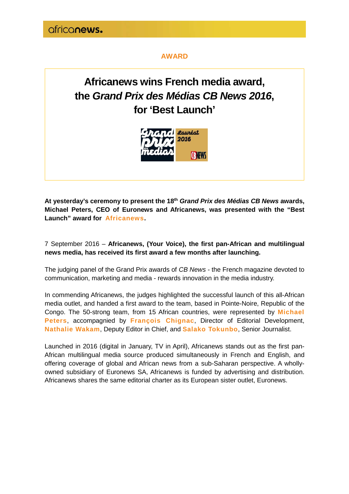#### **AWARD**

## **Africanews wins French media award, the Grand Prix des Médias CB News 2016, for 'Best Launch'**



**At yesterday's ceremony to present the 18th Grand Prix des Médias CB News awards, Michael Peters, CEO of Euronews and Africanews, was presented with the "Best Launch" award for Africanews.**

7 September 2016 – **Africanews, (Your Voice), the first pan-African and multilingual news media, has received its first award a few months after launching.**

The judging panel of the Grand Prix awards of CB News - the French magazine devoted to communication, marketing and media - rewards innovation in the media industry.

In commending Africanews, the judges highlighted the successful launch of this all-African media outlet, and handed a first award to the team, based in Pointe-Noire, Republic of the Congo. The 50-strong team, from 15 African countries, were represented by **Michael Peters**, accompagnied by **François Chignac**, Director of Editorial Development, **Nathalie Wakam**, Deputy Editor in Chief, and **Salako Tokunbo**, Senior Journalist.

Launched in 2016 (digital in January, TV in April), Africanews stands out as the first pan-African multilingual media source produced simultaneously in French and English, and offering coverage of global and African news from a sub-Saharan perspective. A whollyowned subsidiary of Euronews SA, Africanews is funded by advertising and distribution. Africanews shares the same editorial charter as its European sister outlet, Euronews.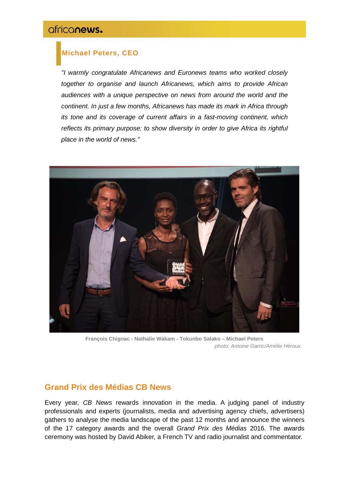### **Michael Peters, CEO**

"I warmly congratulate Africanews and Euronews teams who worked closely together to organise and launch Africanews, which aims to provide African audiences with a unique perspective on news from around the world and the continent. In just a few months, Africanews has made its mark in Africa through its tone and its coverage of current affairs in a fast-moving continent, which reflects its primary purpose: to show diversity in order to give Africa its rightful place in the world of news."



**François Chignac - Nathalie Wakam - Tokunbo Salako – Michael Peters** photo: Antoine Garric/Amélie Héroux

### **Grand Prix des Médias CB News**

Every year, CB News rewards innovation in the media. A judging panel of industry professionals and experts (journalists, media and advertising agency chiefs, advertisers) gathers to analyse the media landscape of the past 12 months and announce the winners of the 17 category awards and the overall Grand Prix des Médias 2016. The awards ceremony was hosted by David Abiker, a French TV and radio journalist and commentator.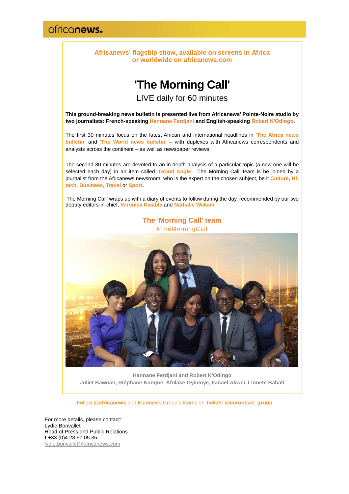**Africanews' flagship show, available on screens in Africa or worldwide on africanews.com** 

## **'The Morning Call'**

LIVE daily for 60 minutes

**This ground-breaking news bulletin is presented live from Africanews' Pointe-Noire studio by two journalists: French-speaking Hannane Ferdjani and English-speaking Robert K'Odingo.**

The first 30 minutes focus on the latest African and international headlines in **'The Africa news bulletin'** and **'The World news bulletin'** – with duplexes with Africanews correspondents and analysts across the continent – as well as newspaper reviews.

The second 30 minutes are devoted to an in-depth analysis of a particular topic (a new one will be selected each day) in an item called **'Grand Angle'**. 'The Morning Call' team is be joined by a journalist from the Africanews newsroom, who is the expert on the chosen subject, be it **Culture, Hitech, Business, Travel** or **Sport.**

'The Morning Call' wraps up with a diary of events to follow during the day, recommended by our two deputy editors-in-chief, **Veronica Kwabla** and **Nathalie Wakam**.



**Hannane Ferdjani and Robert K'Odingo Juliet Bawuah, Stéphane Kungne, Afolake Oyinloye, Ismael Akwei, Linnete Bahati**

Follow **@africanews** and Euronews Group's teams on Twitter: **@euronews\_group**

For more details, please contact: Lydie Bonvallet Head of Press and Public Relations **t** +33 (0)4 28 67 05 35 lydie.bonvallet@africanews.com